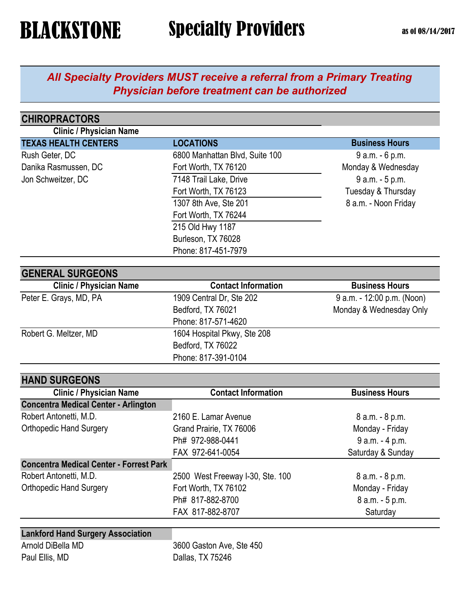### *All Specialty Providers MUST receive a referral from a Primary Treating Physician before treatment can be authorized*

| <b>CHIROPRACTORS</b>                           |                                  |                            |
|------------------------------------------------|----------------------------------|----------------------------|
| <b>Clinic / Physician Name</b>                 |                                  |                            |
| <b>TEXAS HEALTH CENTERS</b>                    | <b>LOCATIONS</b>                 | <b>Business Hours</b>      |
| Rush Geter, DC                                 | 6800 Manhattan Blvd, Suite 100   | 9 a.m. - 6 p.m.            |
| Danika Rasmussen, DC                           | Fort Worth, TX 76120             | Monday & Wednesday         |
| Jon Schweitzer, DC                             | 7148 Trail Lake, Drive           | 9 a.m. - 5 p.m.            |
|                                                | Fort Worth, TX 76123             | Tuesday & Thursday         |
|                                                | 1307 8th Ave, Ste 201            | 8 a.m. - Noon Friday       |
|                                                | Fort Worth, TX 76244             |                            |
|                                                | 215 Old Hwy 1187                 |                            |
|                                                | Burleson, TX 76028               |                            |
|                                                | Phone: 817-451-7979              |                            |
| <b>GENERAL SURGEONS</b>                        |                                  |                            |
| <b>Clinic / Physician Name</b>                 | <b>Contact Information</b>       | <b>Business Hours</b>      |
| Peter E. Grays, MD, PA                         | 1909 Central Dr, Ste 202         | 9 a.m. - 12:00 p.m. (Noon) |
|                                                | Bedford, TX 76021                | Monday & Wednesday Only    |
|                                                | Phone: 817-571-4620              |                            |
| Robert G. Meltzer, MD                          | 1604 Hospital Pkwy, Ste 208      |                            |
|                                                | Bedford, TX 76022                |                            |
|                                                | Phone: 817-391-0104              |                            |
| <b>HAND SURGEONS</b>                           |                                  |                            |
| <b>Clinic / Physician Name</b>                 | <b>Contact Information</b>       | <b>Business Hours</b>      |
| <b>Concentra Medical Center - Arlington</b>    |                                  |                            |
| Robert Antonetti, M.D.                         | 2160 E. Lamar Avenue             | 8 a.m. - 8 p.m.            |
| <b>Orthopedic Hand Surgery</b>                 | Grand Prairie, TX 76006          | Monday - Friday            |
|                                                | Ph# 972-988-0441                 | 9 a.m. - 4 p.m.            |
|                                                | FAX 972-641-0054                 | Saturday & Sunday          |
| <b>Concentra Medical Center - Forrest Park</b> |                                  |                            |
| Robert Antonetti, M.D.                         | 2500 West Freeway I-30, Ste. 100 | 8 a.m. - 8 p.m.            |
| <b>Orthopedic Hand Surgery</b>                 | Fort Worth, TX 76102             | Monday - Friday            |
|                                                | Ph# 817-882-8700                 | 8 a.m. - 5 p.m.            |
|                                                | FAX 817-882-8707                 | Saturday                   |
| <b>Lankford Hand Surgery Association</b>       |                                  |                            |
| Arnold DiBella MD                              | 3600 Gaston Ave, Ste 450         |                            |
| Paul Ellis, MD                                 | Dallas, TX 75246                 |                            |
|                                                |                                  |                            |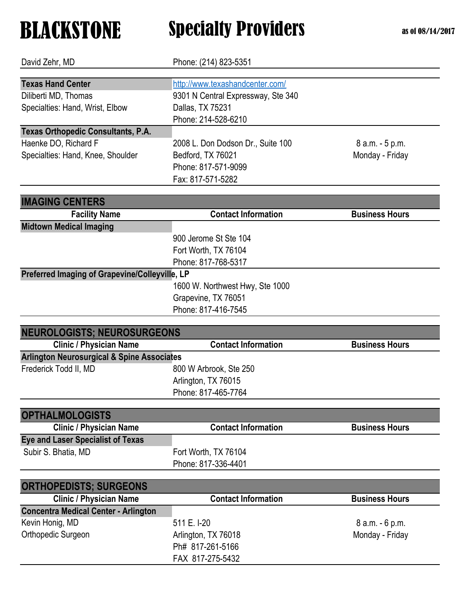| David Zehr, MD                                                                                         | Phone: (214) 823-5351                                                                                                                                 |                                    |
|--------------------------------------------------------------------------------------------------------|-------------------------------------------------------------------------------------------------------------------------------------------------------|------------------------------------|
| <b>Texas Hand Center</b><br>Diliberti MD, Thomas<br>Specialties: Hand, Wrist, Elbow                    | http://www.texashandcenter.com/<br>9301 N Central Expressway, Ste 340<br>Dallas, TX 75231<br>Phone: 214-528-6210                                      |                                    |
| <b>Texas Orthopedic Consultants, P.A.</b><br>Haenke DO, Richard F<br>Specialties: Hand, Knee, Shoulder | 2008 L. Don Dodson Dr., Suite 100<br>Bedford, TX 76021<br>Phone: 817-571-9099<br>Fax: 817-571-5282                                                    | 8 a.m. - 5 p.m.<br>Monday - Friday |
| <b>IMAGING CENTERS</b><br><b>Facility Name</b>                                                         | <b>Contact Information</b>                                                                                                                            | <b>Business Hours</b>              |
| <b>Midtown Medical Imaging</b><br>Preferred Imaging of Grapevine/Colleyville, LP                       | 900 Jerome St Ste 104<br>Fort Worth, TX 76104<br>Phone: 817-768-5317<br>1600 W. Northwest Hwy, Ste 1000<br>Grapevine, TX 76051<br>Phone: 817-416-7545 |                                    |
| <b>NEUROLOGISTS; NEUROSURGEONS</b>                                                                     |                                                                                                                                                       |                                    |
| <b>Clinic / Physician Name</b>                                                                         | <b>Contact Information</b>                                                                                                                            | <b>Business Hours</b>              |
| <b>Arlington Neurosurgical &amp; Spine Associates</b><br>Frederick Todd II, MD                         | 800 W Arbrook, Ste 250<br>Arlington, TX 76015<br>Phone: 817-465-7764                                                                                  |                                    |
| <b>OPTHALMOLOGISTS</b>                                                                                 |                                                                                                                                                       |                                    |
| <b>Clinic / Physician Name</b>                                                                         | <b>Contact Information</b>                                                                                                                            | <b>Business Hours</b>              |
| <b>Eye and Laser Specialist of Texas</b><br>Subir S. Bhatia, MD                                        | Fort Worth, TX 76104<br>Phone: 817-336-4401                                                                                                           |                                    |
| <b>ORTHOPEDISTS; SURGEONS</b>                                                                          |                                                                                                                                                       |                                    |
| <b>Clinic / Physician Name</b>                                                                         | <b>Contact Information</b>                                                                                                                            | <b>Business Hours</b>              |
| <b>Concentra Medical Center - Arlington</b><br>Kevin Honig, MD<br>Orthopedic Surgeon                   | 511 E. I-20<br>Arlington, TX 76018<br>Ph# 817-261-5166<br>FAX 817-275-5432                                                                            | 8 a.m. - 6 p.m.<br>Monday - Friday |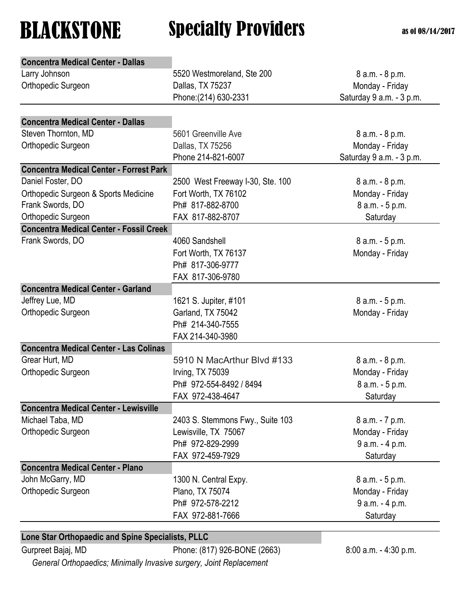| <b>Concentra Medical Center - Dallas</b>          |                                  |                          |
|---------------------------------------------------|----------------------------------|--------------------------|
| Larry Johnson                                     | 5520 Westmoreland, Ste 200       | 8 a.m. - 8 p.m.          |
| Orthopedic Surgeon                                | Dallas, TX 75237                 | Monday - Friday          |
|                                                   | Phone: (214) 630-2331            | Saturday 9 a.m. - 3 p.m. |
|                                                   |                                  |                          |
| <b>Concentra Medical Center - Dallas</b>          |                                  |                          |
| Steven Thornton, MD                               | 5601 Greenville Ave              | 8 a.m. - 8 p.m.          |
| Orthopedic Surgeon                                | Dallas, TX 75256                 | Monday - Friday          |
|                                                   | Phone 214-821-6007               | Saturday 9 a.m. - 3 p.m. |
| <b>Concentra Medical Center - Forrest Park</b>    |                                  |                          |
| Daniel Foster, DO                                 | 2500 West Freeway I-30, Ste. 100 | 8 a.m. - 8 p.m.          |
| Orthopedic Surgeon & Sports Medicine              | Fort Worth, TX 76102             | Monday - Friday          |
| Frank Swords, DO                                  | Ph# 817-882-8700                 | 8 a.m. - 5 p.m.          |
| Orthopedic Surgeon                                | FAX 817-882-8707                 | Saturday                 |
| <b>Concentra Medical Center - Fossil Creek</b>    |                                  |                          |
| Frank Swords, DO                                  | 4060 Sandshell                   | 8 a.m. - 5 p.m.          |
|                                                   | Fort Worth, TX 76137             | Monday - Friday          |
|                                                   | Ph# 817-306-9777                 |                          |
|                                                   | FAX 817-306-9780                 |                          |
| <b>Concentra Medical Center - Garland</b>         |                                  |                          |
| Jeffrey Lue, MD                                   | 1621 S. Jupiter, #101            | 8 a.m. - 5 p.m.          |
| Orthopedic Surgeon                                | Garland, TX 75042                | Monday - Friday          |
|                                                   | Ph# 214-340-7555                 |                          |
|                                                   | FAX 214-340-3980                 |                          |
| <b>Concentra Medical Center - Las Colinas</b>     |                                  |                          |
| Grear Hurt, MD                                    | 5910 N MacArthur Blvd #133       | 8 a.m. - 8 p.m.          |
| Orthopedic Surgeon                                | Irving, TX 75039                 | Monday - Friday          |
|                                                   | Ph# 972-554-8492 / 8494          | 8 a.m. - 5 p.m.          |
|                                                   | FAX 972-438-4647                 | Saturday                 |
| <b>Concentra Medical Center - Lewisville</b>      |                                  |                          |
| Michael Taba, MD                                  | 2403 S. Stemmons Fwy., Suite 103 | 8 a.m. - 7 p.m.          |
| Orthopedic Surgeon                                | Lewisville, TX 75067             | Monday - Friday          |
|                                                   | Ph# 972-829-2999                 | 9 a.m. - 4 p.m.          |
|                                                   | FAX 972-459-7929                 | Saturday                 |
| <b>Concentra Medical Center - Plano</b>           |                                  |                          |
| John McGarry, MD                                  | 1300 N. Central Expy.            | 8 a.m. - 5 p.m.          |
| Orthopedic Surgeon                                | Plano, TX 75074                  | Monday - Friday          |
|                                                   | Ph# 972-578-2212                 | 9 a.m. - 4 p.m.          |
|                                                   | FAX 972-881-7666                 | Saturday                 |
|                                                   |                                  |                          |
| Lone Star Orthopaedic and Spine Specialists, PLLC |                                  |                          |

Gurpreet Bajaj, MD Phone: (817) 926-BONE (2663) 8:00 a.m. - 4:30 p.m.

 *General Orthopaedics; Minimally Invasive surgery, Joint Replacement*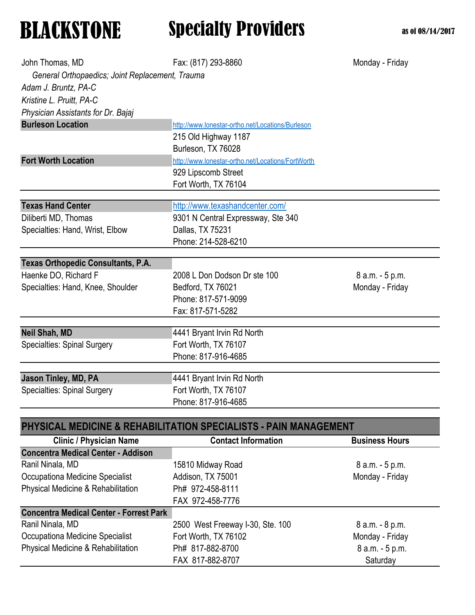| John Thomas, MD                                 | Fax: (817) 293-8860                                              | Monday - Friday       |
|-------------------------------------------------|------------------------------------------------------------------|-----------------------|
| General Orthopaedics; Joint Replacement, Trauma |                                                                  |                       |
| Adam J. Bruntz, PA-C                            |                                                                  |                       |
| Kristine L. Pruitt, PA-C                        |                                                                  |                       |
| Physician Assistants for Dr. Bajaj              |                                                                  |                       |
| <b>Burleson Location</b>                        | http://www.lonestar-ortho.net/Locations/Burleson                 |                       |
|                                                 | 215 Old Highway 1187                                             |                       |
|                                                 | Burleson, TX 76028                                               |                       |
| <b>Fort Worth Location</b>                      | http://www.lonestar-ortho.net/Locations/FortWorth                |                       |
|                                                 | 929 Lipscomb Street                                              |                       |
|                                                 | Fort Worth, TX 76104                                             |                       |
| <b>Texas Hand Center</b>                        | http://www.texashandcenter.com/                                  |                       |
| Diliberti MD, Thomas                            | 9301 N Central Expressway, Ste 340                               |                       |
| Specialties: Hand, Wrist, Elbow                 | Dallas, TX 75231                                                 |                       |
|                                                 | Phone: 214-528-6210                                              |                       |
|                                                 |                                                                  |                       |
| <b>Texas Orthopedic Consultants, P.A.</b>       |                                                                  |                       |
| Haenke DO, Richard F                            | 2008 L Don Dodson Dr ste 100                                     | 8 a.m. - 5 p.m.       |
| Specialties: Hand, Knee, Shoulder               | Bedford, TX 76021                                                | Monday - Friday       |
|                                                 | Phone: 817-571-9099                                              |                       |
|                                                 | Fax: 817-571-5282                                                |                       |
| <b>Neil Shah, MD</b>                            | 4441 Bryant Irvin Rd North                                       |                       |
| <b>Specialties: Spinal Surgery</b>              | Fort Worth, TX 76107                                             |                       |
|                                                 | Phone: 817-916-4685                                              |                       |
| Jason Tinley, MD, PA                            | 4441 Bryant Irvin Rd North                                       |                       |
| <b>Specialties: Spinal Surgery</b>              | Fort Worth, TX 76107                                             |                       |
|                                                 | Phone: 817-916-4685                                              |                       |
|                                                 |                                                                  |                       |
|                                                 | PHYSICAL MEDICINE & REHABILITATION SPECIALISTS - PAIN MANAGEMENT |                       |
| <b>Clinic / Physician Name</b>                  | <b>Contact Information</b>                                       | <b>Business Hours</b> |
| <b>Concentra Medical Center - Addison</b>       |                                                                  |                       |
| Ranil Ninala, MD                                | 15810 Midway Road                                                | 8 a.m. - 5 p.m.       |
| Occupationa Medicine Specialist                 | Addison, TX 75001                                                | Monday - Friday       |
| Physical Medicine & Rehabilitation              | Ph# 972-458-8111                                                 |                       |
|                                                 | FAX 972-458-7776                                                 |                       |
| <b>Concentra Medical Center - Forrest Park</b>  |                                                                  |                       |
| Ranil Ninala, MD                                | 2500 West Freeway I-30, Ste. 100                                 | 8 a.m. - 8 p.m.       |
| Occupationa Medicine Specialist                 | Fort Worth, TX 76102                                             | Monday - Friday       |
| Physical Medicine & Rehabilitation              | Ph# 817-882-8700                                                 | 8 a.m. - 5 p.m.       |

FAX 817-882-8707 Saturday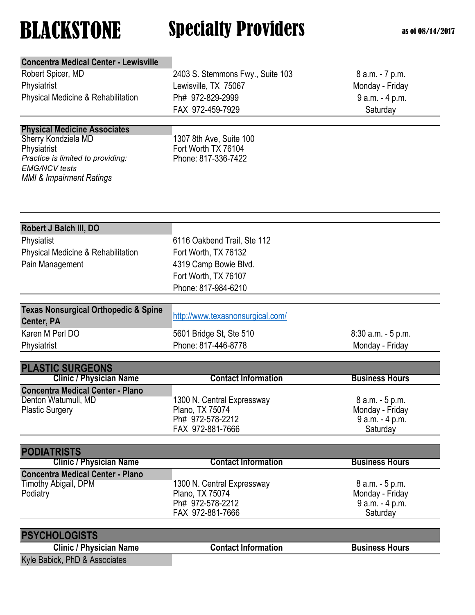| <b>Concentra Medical Center - Lewisville</b>                   |                                  |                       |
|----------------------------------------------------------------|----------------------------------|-----------------------|
| Robert Spicer, MD                                              | 2403 S. Stemmons Fwy., Suite 103 | 8 a.m. - 7 p.m.       |
| Physiatrist                                                    | Lewisville, TX 75067             | Monday - Friday       |
| Physical Medicine & Rehabilitation                             | Ph# 972-829-2999                 | 9 a.m. - 4 p.m.       |
|                                                                | FAX 972-459-7929                 | Saturday              |
|                                                                |                                  |                       |
| <b>Physical Medicine Associates</b><br>Sherry Kondziela MD     | 1307 8th Ave, Suite 100          |                       |
| Physiatrist                                                    | Fort Worth TX 76104              |                       |
| Practice is limited to providing:                              | Phone: 817-336-7422              |                       |
| <b>EMG/NCV</b> tests                                           |                                  |                       |
| <b>MMI &amp; Impairment Ratings</b>                            |                                  |                       |
|                                                                |                                  |                       |
|                                                                |                                  |                       |
| Robert J Balch III, DO                                         |                                  |                       |
| Physiatist                                                     | 6116 Oakbend Trail, Ste 112      |                       |
| Physical Medicine & Rehabilitation                             | Fort Worth, TX 76132             |                       |
|                                                                |                                  |                       |
| Pain Management                                                | 4319 Camp Bowie Blvd.            |                       |
|                                                                | Fort Worth, TX 76107             |                       |
|                                                                | Phone: 817-984-6210              |                       |
| <b>Texas Nonsurgical Orthopedic &amp; Spine</b>                |                                  |                       |
| Center, PA                                                     | http://www.texasnonsurgical.com/ |                       |
| Karen M Perl DO                                                | 5601 Bridge St, Ste 510          | 8:30 a.m. - 5 p.m.    |
| Physiatrist                                                    | Phone: 817-446-8778              | Monday - Friday       |
|                                                                |                                  |                       |
| <b>PLASTIC SURGEONS</b>                                        |                                  |                       |
| <b>Clinic / Physician Name</b>                                 | <b>Contact Information</b>       | <b>Business Hours</b> |
| <b>Concentra Medical Center - Plano</b><br>Denton Watumull, MD | 1300 N. Central Expressway       | 8 a.m. - 5 p.m.       |
| <b>Plastic Surgery</b>                                         | Plano, TX 75074                  | Monday - Friday       |
|                                                                | Ph# 972-578-2212                 | $9 a.m. - 4 p.m.$     |
|                                                                | FAX 972-881-7666                 | Saturday              |
|                                                                |                                  |                       |
| <b>PODIATRISTS</b><br><b>Clinic / Physician Name</b>           | <b>Contact Information</b>       | <b>Business Hours</b> |
| <b>Concentra Medical Center - Plano</b>                        |                                  |                       |
| Timothy Abigail, DPM                                           | 1300 N. Central Expressway       | 8 a.m. - 5 p.m.       |
| Podiatry                                                       | Plano, TX 75074                  | Monday - Friday       |
|                                                                | Ph# 972-578-2212                 | 9 a.m. - 4 p.m.       |
|                                                                | FAX 972-881-7666                 | Saturday              |
|                                                                |                                  |                       |
| <b>PSYCHOLOGISTS</b><br><b>Clinic / Physician Name</b>         | <b>Contact Information</b>       | <b>Business Hours</b> |
|                                                                |                                  |                       |
| Kyle Babick, PhD & Associates                                  |                                  |                       |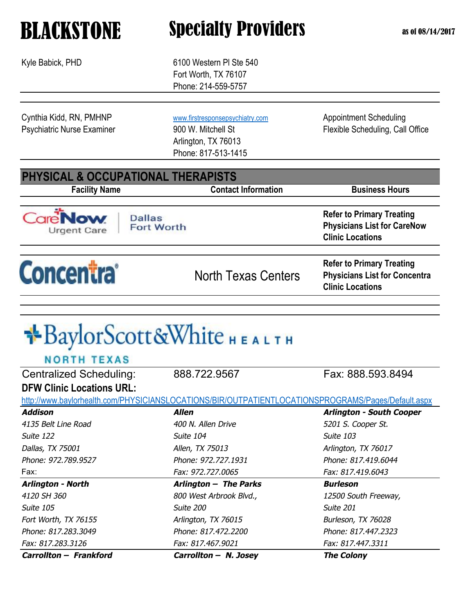Kyle Babick, PHD 6100 Western PI Ste 540 Fort Worth, TX 76107 Phone: 214-559-5757

Cynthia Kidd, RN, PMHNP [www.firstresponsepsychiatry.com](http://www.firstresponsepsychiatry.com) Appointment Scheduling

Arlington, TX 76013 Phone: 817-513-1415

Psychiatric Nurse Examiner 900 W. Mitchell St Flexible Scheduling, Call Office

### **PHYSICAL & OCCUPATIONAL THERAPISTS**

**Facility Name Contact Information Business Hours** 

Urgent Care

**Concentra** 

**Dallas Fort Worth** 

North Texas Centers

**Refer to Primary Treating Physicians List for Concentra Clinic Locations**

**Refer to Primary Treating Physicians List for CareNow** 

**Clinic Locations**

# \*BaylorScott&White HEALTH

| Carrollton - Frankford           | Carrollton - N. Josey                                                                              | <b>The Colony</b>               |
|----------------------------------|----------------------------------------------------------------------------------------------------|---------------------------------|
| Fax: 817.283.3126                | Fax: 817.467.9021                                                                                  | Fax: 817.447.3311               |
| Phone: 817.283.3049              | Phone: 817.472.2200                                                                                | Phone: 817.447.2323             |
| Fort Worth, TX 76155             | Arlington, TX 76015                                                                                | Burleson, TX 76028              |
| Suite 105                        | Suite 200                                                                                          | Suite 201                       |
| 4120 SH 360                      | 800 West Arbrook Blvd.,                                                                            | 12500 South Freeway,            |
| <b>Arlington - North</b>         | Arlington - The Parks                                                                              | Burleson                        |
| Fax:                             | Fax: 972.727.0065                                                                                  | Fax: 817.419.6043               |
| Phone: 972.789.9527              | Phone: 972.727.1931                                                                                | Phone: 817.419.6044             |
| Dallas, TX 75001                 | Allen, TX 75013                                                                                    | Arlington, TX 76017             |
| Suite 122                        | Suite 104                                                                                          | Suite 103                       |
| 4135 Belt Line Road              | 400 N. Allen Drive                                                                                 | 5201 S. Cooper St.              |
| <b>Addison</b>                   | <b>Allen</b>                                                                                       | <b>Arlington - South Cooper</b> |
|                                  | http://www.baylorhealth.com/PHYSICIANSLOCATIONS/BIR/OUTPATIENTLOCATIONSPROGRAMS/Pages/Default.aspx |                                 |
| <b>DFW Clinic Locations URL:</b> |                                                                                                    |                                 |
| <b>Centralized Scheduling:</b>   | 888.722.9567                                                                                       | Fax: 888.593.8494               |
| <b>NORTH TEXAS</b>               |                                                                                                    |                                 |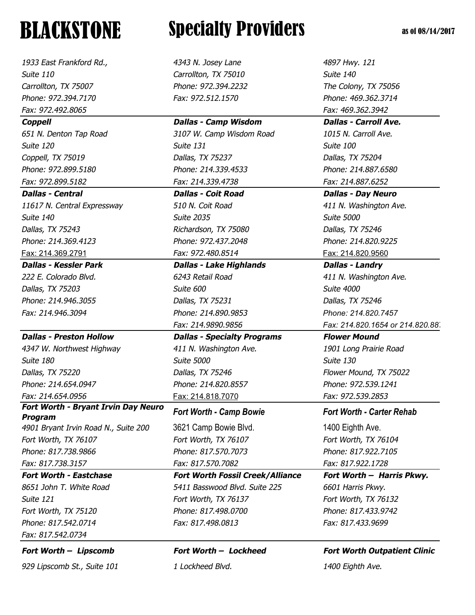*1933 East Frankford Rd., 4343 N. Josey Lane 4897 Hwy. 121 Suite 110 Carrollton, TX 75010 Suite 140 Carrollton, TX 75007 Phone: 972.394.2232 The Colony, TX 75056 Phone: 972.394.7170 Fax: 972.512.1570 Phone: 469.362.3714 Fax: 972.492.8065 Fax: 469.362.3942 Coppell Dallas - Camp Wisdom Dallas - Carroll Ave.*

*Dallas - Central Dallas - Coit Road Dallas - Day Neuro 11617 N. Central Expressway 510 N. Coit Road 411 N. Washington Ave. Suite 140 Suite 2035 Suite 5000 Dallas, TX 75243 Richardson, TX 75080 Dallas, TX 75246 Phone: 214.369.4123 Phone: 972.437.2048 Phone: 214.820.9225* Fax: 214.369.2791 *Fax: 972.480.8514* Fax: 214.820.9560

*Dallas - Kessler Park Dallas - Lake Highlands Dallas - Landry Fax: 214.946.3094 Phone: 214.890.9853 Phone: 214.820.7457*

### *Dallas - Preston Hollow Dallas - Specialty Programs Flower Mound*

*4347 W. Northwest Highway 411 N. Washington Ave. 1901 Long Prairie Road Suite 180 Suite 5000 Suite 130 Dallas, TX 75220 Dallas, TX 75246 Flower Mound, TX 75022 Phone: 214.654.0947 Phone: 214.820.8557 Phone: 972.539.1241 Fax: 214.654.0956* Fax: 214.818.7070 *Fax: 972.539.2853* 

### *Fort Worth - Bryant Irvin Day Neuro Program*

*Fort Worth, TX 76107 Fort Worth, TX 76107 Fort Worth, TX 76104 Phone: 817.738.9866 Phone: 817.570.7073 Phone: 817.922.7105 Fax: 817.738.3157 Fax: 817.570.7082 Fax: 817.922.1728*

*Fax: 817.542.0734*

*929 Lipscomb St., Suite 101 1 Lockheed Blvd. 1400 Eighth Ave.*

# **BLACKSTONE** Specialty Providers as of 08/14/2017

*651 N. Denton Tap Road 3107 W. Camp Wisdom Road 1015 N. Carroll Ave. Suite 120 Suite 131 Suite 100 Coppell, TX 75019 Dallas, TX 75237 Dallas, TX 75204 Phone: 972.899.5180 Phone: 214.339.4533 Phone: 214.887.6580 Fax: 972.899.5182 Fax: 214.339.4738 Fax: 214.887.6252*

### *222 E. Colorado Blvd. 6243 Retail Road 411 N. Washington Ave. Dallas, TX 75203 Suite 600 Suite 4000 Phone: 214.946.3055 Dallas, TX 75231 Dallas, TX 75246*

### *Fort Worth - Camp Bowie Fort Worth - Carter Rehab*

*4901 Bryant Irvin Road N., Suite 200* 3621 Camp Bowie Blvd. 1400 Eighth Ave.

*Fort Worth - Eastchase Fort Worth Fossil Creek/Alliance Fort Worth – Harris Pkwy. 8651 John T. White Road 5411 Basswood Blvd. Suite 225 6601 Harris Pkwy. Suite 121 Fort Worth, TX 76137 Fort Worth, TX 76132 Fort Worth, TX 75120 Phone: 817.498.0700 Phone: 817.433.9742 Phone: 817.542.0714 Fax: 817.498.0813 Fax: 817.433.9699*

*Fax: 214.9890.9856 Fax: 214.820.1654 or 214.820.88* 

### *Fort Worth – Lipscomb Fort Worth – Lockheed Fort Worth Outpatient Clinic*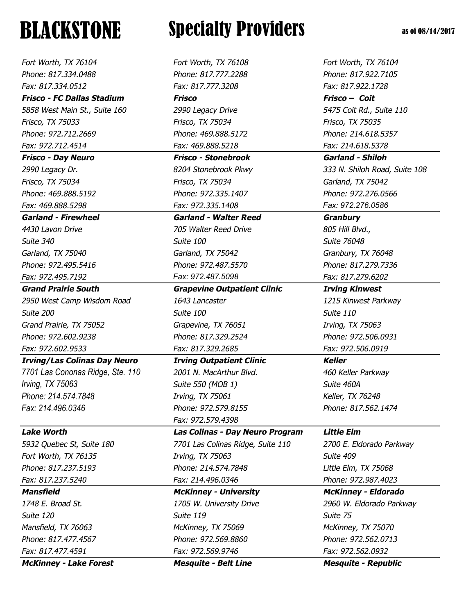| Fort Worth, TX 76104                | Fort Worth, TX 76108               | Fort Worth, TX 76104          |
|-------------------------------------|------------------------------------|-------------------------------|
| Phone: 817.334.0488                 | Phone: 817.777.2288                | Phone: 817.922.7105           |
| Fax: 817.334.0512                   | Fax: 817.777.3208                  | Fax: 817.922.1728             |
| <b>Frisco - FC Dallas Stadium</b>   | <b>Frisco</b>                      | Frisco - Coit                 |
| 5858 West Main St., Suite 160       | 2990 Legacy Drive                  | 5475 Coit Rd., Suite 110      |
| Frisco, TX 75033                    | Frisco, TX 75034                   | Frisco, TX 75035              |
| Phone: 972.712.2669                 | Phone: 469.888.5172                | Phone: 214.618.5357           |
| Fax: 972.712.4514                   | Fax: 469.888.5218                  | Fax: 214.618.5378             |
| <b>Frisco - Day Neuro</b>           | <b>Frisco - Stonebrook</b>         | <b>Garland - Shiloh</b>       |
| 2990 Legacy Dr.                     | 8204 Stonebrook Pkwy               | 333 N. Shiloh Road, Suite 108 |
| Frisco, TX 75034                    | Frisco, TX 75034                   | Garland, TX 75042             |
| Phone: 469.888.5192                 | Phone: 972.335.1407                | Phone: 972.276.0566           |
| Fax: 469.888.5298                   | Fax: 972.335.1408                  | Fax: 972.276.0586             |
| <b>Garland - Firewheel</b>          | <b>Garland - Walter Reed</b>       | <b>Granbury</b>               |
| 4430 Lavon Drive                    | 705 Walter Reed Drive              | 805 Hill Blvd.,               |
| Suite 340                           | Suite 100                          | Suite 76048                   |
| Garland, TX 75040                   | Garland, TX 75042                  | Granbury, TX 76048            |
| Phone: 972.495.5416                 | Phone: 972.487.5570                | Phone: 817.279.7336           |
| Fax: 972.495.7192                   | Fax: 972.487.5098                  | Fax: 817.279.6202             |
| <b>Grand Prairie South</b>          | <b>Grapevine Outpatient Clinic</b> | <b>Irving Kinwest</b>         |
| 2950 West Camp Wisdom Road          | 1643 Lancaster                     | 1215 Kinwest Parkway          |
| Suite 200                           | Suite 100                          | Suite 110                     |
| Grand Prairie, TX 75052             | Grapevine, TX 76051                | Irving, TX 75063              |
| Phone: 972.602.9238                 | Phone: 817.329.2524                | Phone: 972.506.0931           |
| Fax: 972.602.9533                   | Fax: 817.329.2685                  | Fax: 972.506.0919             |
| <b>Irving/Las Colinas Day Neuro</b> | <b>Irving Outpatient Clinic</b>    | <b>Keller</b>                 |
| 7701 Las Cononas Ridge, Ste. 110    | 2001 N. MacArthur Blvd.            | 460 Keller Parkway            |
| Irving, TX 75063                    | Suite 550 (MOB 1)                  | Suite 460A                    |
| Phone: 214.574.7848                 | Irving, TX 75061                   | Keller, TX 76248              |
| Fax: 214.496.0346                   | Phone: 972.579.8155                | Phone: 817.562.1474           |
|                                     | Fax: 972.579.4398                  |                               |
| <b>Lake Worth</b>                   | Las Colinas - Day Neuro Program    | <b>Little Elm</b>             |
| 5932 Quebec St, Suite 180           | 7701 Las Colinas Ridge, Suite 110  | 2700 E. Eldorado Parkway      |
| Fort Worth, TX 76135                | Irving, TX 75063                   | Suite 409                     |
| Phone: 817.237.5193                 | Phone: 214.574.7848                | Little Elm, TX 75068          |
| Fax: 817.237.5240                   | Fax: 214.496.0346                  | Phone: 972.987.4023           |
| <b>Mansfield</b>                    | <b>McKinney - University</b>       | <b>McKinney - Eldorado</b>    |
| 1748 E. Broad St.                   | 1705 W. University Drive           | 2960 W. Eldorado Parkway      |
| Suite 120                           | Suite 119                          | Suite 75                      |
| Mansfield, TX 76063                 | McKinney, TX 75069                 | McKinney, TX 75070            |
| Phone: 817.477.4567                 | Phone: 972.569.8860                | Phone: 972.562.0713           |
| Fax: 817.477.4591                   | Fax: 972.569.9746                  | Fax: 972.562.0932             |
| <b>McKinney - Lake Forest</b>       | <b>Mesquite - Belt Line</b>        | <b>Mesquite - Republic</b>    |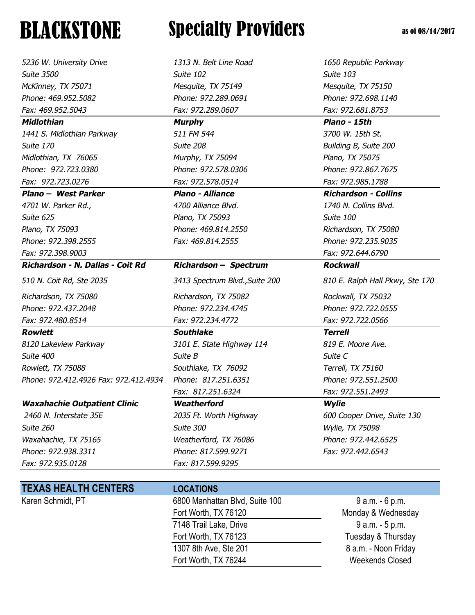*5236 W. University Drive 1313 N. Belt Line Road 1650 Republic Parkway Suite 3500 Suite 102 Suite 103 McKinney, TX 75071 Mesquite, TX 75149 Mesquite, TX 75150 Phone: 469.952.5082 Phone: 972.289.0691 Phone: 972.698.1140 Fax: 469.952.5043 Fax: 972.289.0607 Fax: 972.681.8753 Midlothian Murphy Plano - 15th 1441 S. Midlothian Parkway 511 FM 544 3700 W. 15th St. Suite 170 Suite 208 Building B, Suite 200 Midlothian, TX 76065 Murphy, TX 75094 Plano, TX 75075 Phone: 972.723.0380 Phone: 972.578.0306 Phone: 972.867.7675 Fax: 972.723.0276 Fax: 972.578.0514 Fax: 972.985.1788 Plano – West Parker Plano - Alliance Richardson - Collins 4701 W. Parker Rd., 4700 Alliance Blvd. 1740 N. Collins Blvd. Suite 625 Plano, TX 75093 Suite 100 Plano, TX 75093 Phone: 469.814.2550 Richardson, TX 75080 Phone: 972.398.2555 Fax: 469.814.2555 Phone: 972.235.9035 Fax: 972.398.9003 Fax: 972.644.6790 Richardson - N. Dallas - Coit Rd Richardson – Spectrum Rockwall 510 N. Coit Rd, Ste 2035 3413 Spectrum Blvd.,Suite 200 810 E. Ralph Hall Pkwy, Ste 170 Richardson, TX 75080 Richardson, TX 75082 Rockwall, TX 75032 Phone: 972.437.2048 Phone: 972.234.4745 Phone: 972.722.0555 Fax: 972.480.8514 Fax: 972.234.4772 Fax: 972.722.0566 Rowlett Southlake Terrell 8120 Lakeview Parkway 3101 E. State Highway 114 819 E. Moore Ave. Suite 400 Suite B Suite C Rowlett, TX 75088 Southlake, TX 76092 Terrell, TX 75160*

*Waxahachie Outpatient Clinic Weatherford Wylie* 

*Suite 260 Suite 300 Wylie, TX 75098 Waxahachie, TX 75165 Weatherford, TX 76086 Phone: 972.442.6525 Phone: 972.938.3311 Phone: 817.599.9271 Fax: 972.442.6543 Fax: 972.935.0128 Fax: 817.599.9295*

## **TEXAS HEALTH CENTERS LOCATIONS**

**BLACKSTONE** Specialty Providers as of 08/14/2017

*Phone: 972.412.4926 Fax: 972.412.4934 Phone: 817.251.6351 Phone: 972.551.2500* 

*Fax: 817.251.6324 Fax: 972.551.2493*

Karen Schmidt, PT 6800 Manhattan Blvd, Suite 100 9 a.m. - 6 p.m. Fort Worth, TX 76120 Monday & Wednesday 7148 Trail Lake, Drive 7148 Trail Lake, Drive 9 a.m. - 5 p.m. Fort Worth, TX 76123 Tuesday & Thursday 1307 8th Ave, Ste 201 8 a.m. - Noon Friday Fort Worth, TX 76244 Weekends Closed

 *2460 N. Interstate 35E 2035 Ft. Worth Highway 600 Cooper Drive, Suite 130*